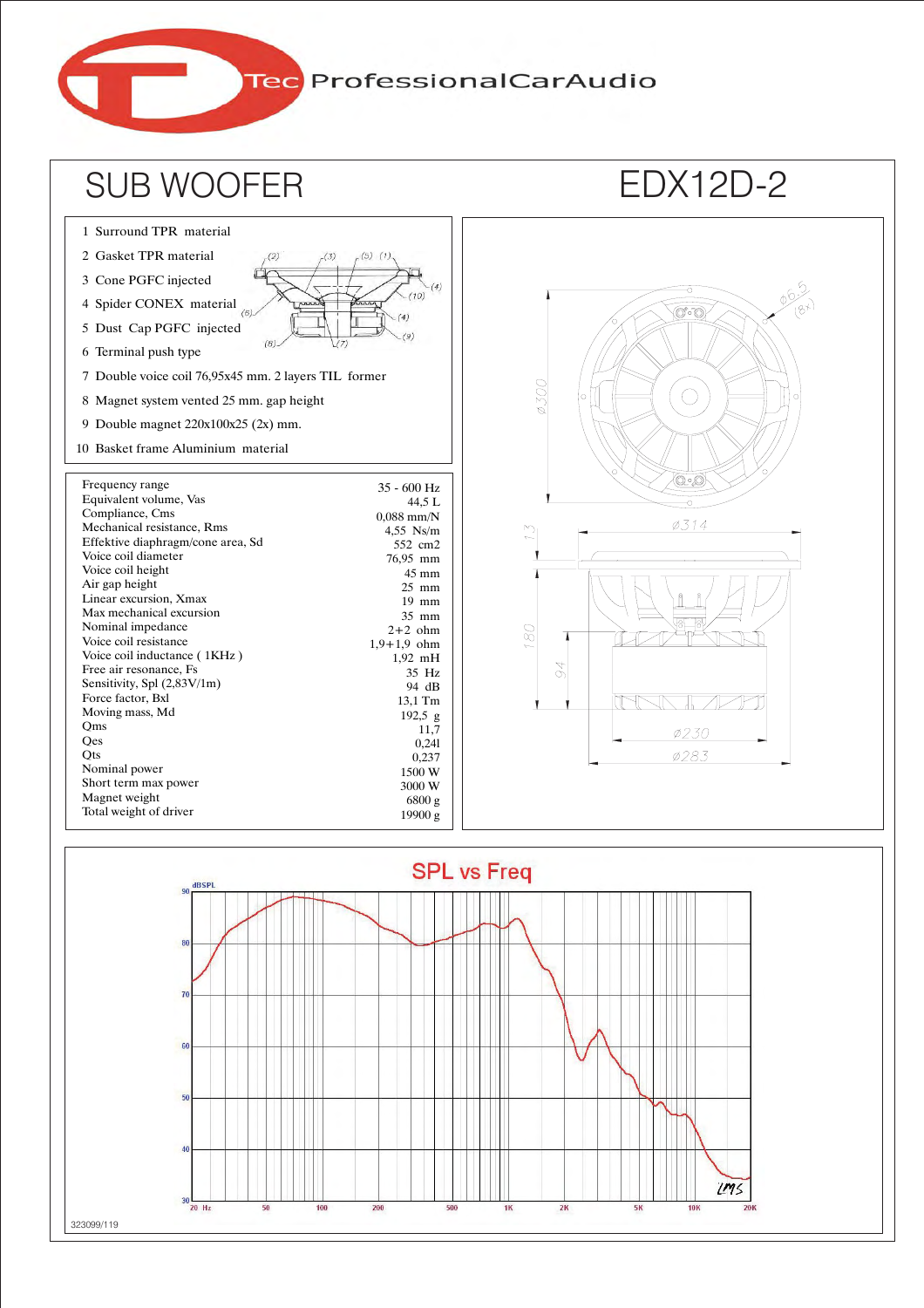Tec ProfessionalCarAudio



<u>UMS</u>

 $20K$ 

**10K** 

323099/119

 $20$  Hz

100

200

500

 $2K$ 

 $5K$ 

1K